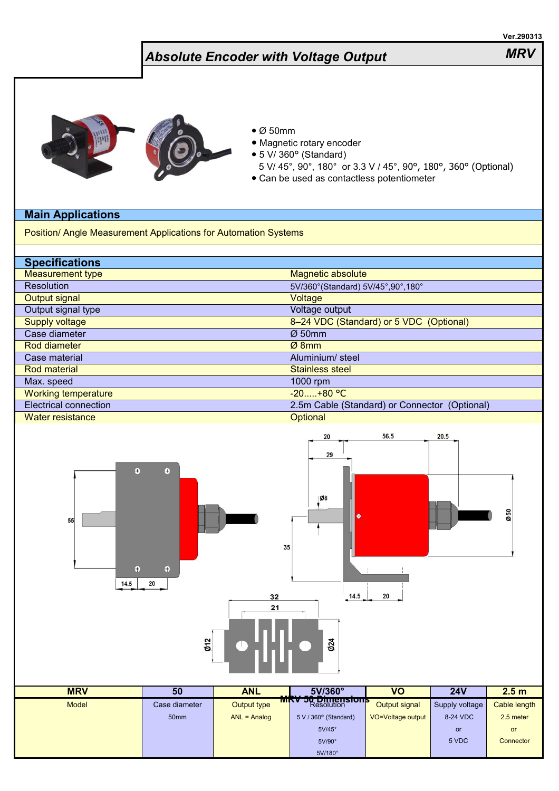|                                                                                                                                                                                |                                                           |                  |                                                                                                                                                                     |                   |                | Ver.290313       |
|--------------------------------------------------------------------------------------------------------------------------------------------------------------------------------|-----------------------------------------------------------|------------------|---------------------------------------------------------------------------------------------------------------------------------------------------------------------|-------------------|----------------|------------------|
| <b>Absolute Encoder with Voltage Output</b>                                                                                                                                    |                                                           |                  |                                                                                                                                                                     |                   |                | <b>MRV</b>       |
| <b>Main Applications</b>                                                                                                                                                       |                                                           | $\bullet$ Ø 50mm | · Magnetic rotary encoder<br>• 5 V/ 360° (Standard)<br>5 V/ 45°, 90°, 180° or 3.3 V / 45°, 90°, 180°, 360° (Optional)<br>• Can be used as contactless potentiometer |                   |                |                  |
| Position/ Angle Measurement Applications for Automation Systems                                                                                                                |                                                           |                  |                                                                                                                                                                     |                   |                |                  |
|                                                                                                                                                                                |                                                           |                  |                                                                                                                                                                     |                   |                |                  |
| <b>Specifications</b>                                                                                                                                                          |                                                           |                  |                                                                                                                                                                     |                   |                |                  |
| <b>Measurement type</b>                                                                                                                                                        | Magnetic absolute                                         |                  |                                                                                                                                                                     |                   |                |                  |
| Resolution                                                                                                                                                                     | 5V/360° (Standard) 5V/45°,90°,180°                        |                  |                                                                                                                                                                     |                   |                |                  |
| <b>Output signal</b>                                                                                                                                                           | Voltage                                                   |                  |                                                                                                                                                                     |                   |                |                  |
| Output signal type                                                                                                                                                             | Voltage output                                            |                  |                                                                                                                                                                     |                   |                |                  |
| <b>Supply voltage</b>                                                                                                                                                          | 8-24 VDC (Standard) or 5 VDC (Optional)                   |                  |                                                                                                                                                                     |                   |                |                  |
| Case diameter                                                                                                                                                                  | Ø50mm                                                     |                  |                                                                                                                                                                     |                   |                |                  |
| <b>Rod diameter</b>                                                                                                                                                            | Ø8mm                                                      |                  |                                                                                                                                                                     |                   |                |                  |
| Case material                                                                                                                                                                  | Aluminium/ steel                                          |                  |                                                                                                                                                                     |                   |                |                  |
| <b>Rod material</b>                                                                                                                                                            | <b>Stainless steel</b>                                    |                  |                                                                                                                                                                     |                   |                |                  |
| Max. speed                                                                                                                                                                     | 1000 rpm                                                  |                  |                                                                                                                                                                     |                   |                |                  |
| <b>Working temperature</b>                                                                                                                                                     | $-20$ $+80 °C$                                            |                  |                                                                                                                                                                     |                   |                |                  |
| <b>Electrical connection</b><br><b>Water resistance</b>                                                                                                                        | 2.5m Cable (Standard) or Connector (Optional)<br>Optional |                  |                                                                                                                                                                     |                   |                |                  |
| 56.5<br>20.5<br>20<br>29<br>$\ddot{\bm{v}}$<br>$\bullet$<br><b>Ø8</b><br>050<br>۰<br>55<br>35<br>$\bigoplus$<br>$\oplus$<br>14.5<br>20<br>32<br>14.5<br>20<br>21<br>Ø24<br>Ø12 |                                                           |                  |                                                                                                                                                                     |                   |                |                  |
| <b>MRV</b>                                                                                                                                                                     | 50                                                        | <b>ANL</b>       | 5V/360°                                                                                                                                                             | $\overline{VO}$   | 24V            |                  |
|                                                                                                                                                                                |                                                           |                  | <b>MRV 50 Dimensions</b>                                                                                                                                            |                   |                | 2.5 <sub>m</sub> |
| Model                                                                                                                                                                          | Case diameter                                             | Output type      |                                                                                                                                                                     | Output signal     | Supply voltage | Cable length     |
|                                                                                                                                                                                | 50mm                                                      | $ANL = Analog$   | 5 V / 360° (Standard)                                                                                                                                               | VO=Voltage output | 8-24 VDC       | 2.5 meter        |
|                                                                                                                                                                                |                                                           |                  | $5V/45^\circ$                                                                                                                                                       |                   | or             | or               |
|                                                                                                                                                                                |                                                           |                  | 5V/90°                                                                                                                                                              |                   | 5 VDC          | Connector        |
|                                                                                                                                                                                |                                                           |                  | 5V/180°                                                                                                                                                             |                   |                |                  |